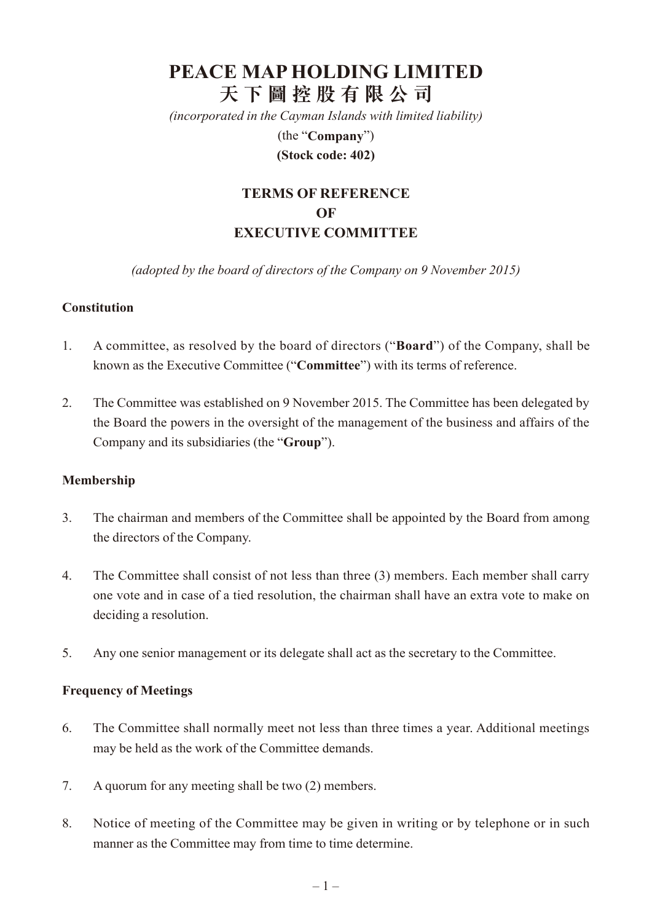# **PEACE MAP HOLDING LIMITED 天 下 圖 控 股 有 限 公 司**

*(incorporated in the Cayman Islands with limited liability)*

(the "**Company**") **(Stock code: 402)**

# **Terms of Reference of EXECUTIVE COMMITTEE**

*(adopted by the board of directors of the Company on 9 November 2015)*

#### **Constitution**

- 1. A committee, as resolved by the board of directors ("**Board**") of the Company, shall be known as the Executive Committee ("**Committee**") with its terms of reference.
- 2. The Committee was established on 9 November 2015. The Committee has been delegated by the Board the powers in the oversight of the management of the business and affairs of the Company and its subsidiaries (the "**Group**").

#### **Membership**

- 3. The chairman and members of the Committee shall be appointed by the Board from among the directors of the Company.
- 4. The Committee shall consist of not less than three (3) members. Each member shall carry one vote and in case of a tied resolution, the chairman shall have an extra vote to make on deciding a resolution.
- 5. Any one senior management or its delegate shall act as the secretary to the Committee.

#### **Frequency of Meetings**

- 6. The Committee shall normally meet not less than three times a year. Additional meetings may be held as the work of the Committee demands.
- 7. A quorum for any meeting shall be two (2) members.
- 8. Notice of meeting of the Committee may be given in writing or by telephone or in such manner as the Committee may from time to time determine.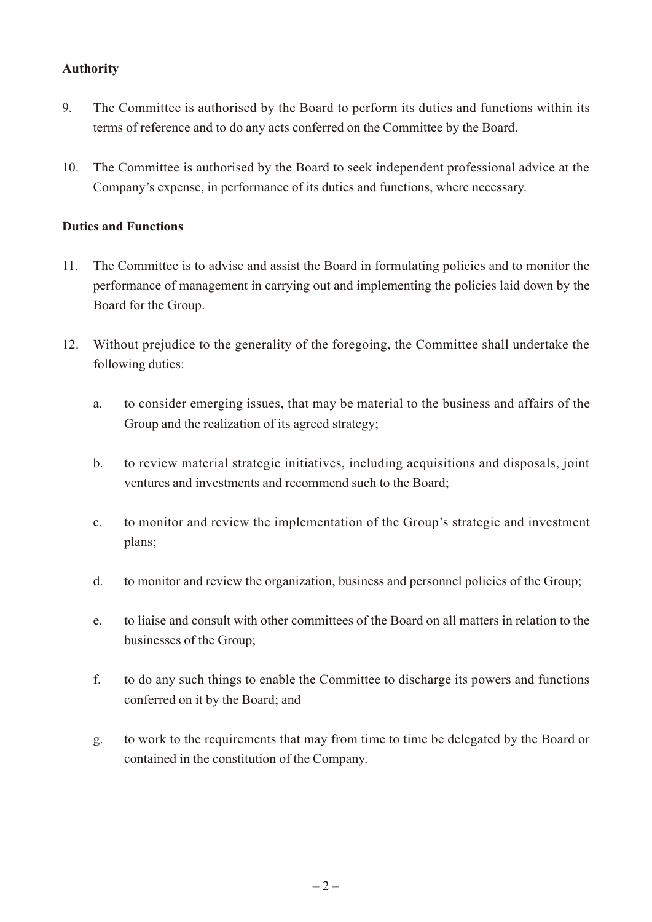### **Authority**

- 9. The Committee is authorised by the Board to perform its duties and functions within its terms of reference and to do any acts conferred on the Committee by the Board.
- 10. The Committee is authorised by the Board to seek independent professional advice at the Company's expense, in performance of its duties and functions, where necessary.

#### **Duties and Functions**

- 11. The Committee is to advise and assist the Board in formulating policies and to monitor the performance of management in carrying out and implementing the policies laid down by the Board for the Group.
- 12. Without prejudice to the generality of the foregoing, the Committee shall undertake the following duties:
	- a. to consider emerging issues, that may be material to the business and affairs of the Group and the realization of its agreed strategy;
	- b. to review material strategic initiatives, including acquisitions and disposals, joint ventures and investments and recommend such to the Board;
	- c. to monitor and review the implementation of the Group's strategic and investment plans;
	- d. to monitor and review the organization, business and personnel policies of the Group;
	- e. to liaise and consult with other committees of the Board on all matters in relation to the businesses of the Group;
	- f. to do any such things to enable the Committee to discharge its powers and functions conferred on it by the Board; and
	- g. to work to the requirements that may from time to time be delegated by the Board or contained in the constitution of the Company.